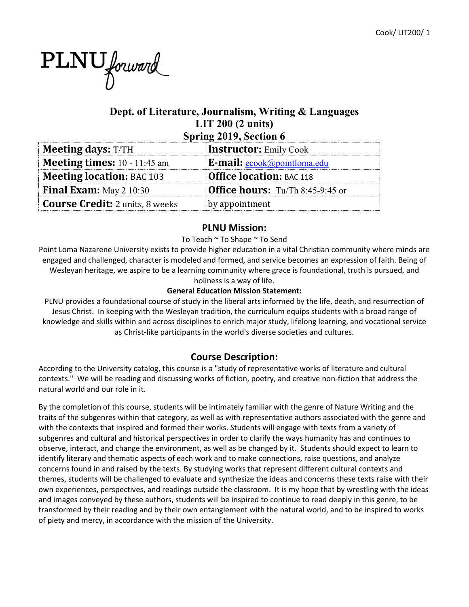# PLNU forward

# **Dept. of Literature, Journalism, Writing & Languages LIT 200 (2 units) Spring 2019, Section 6**

| $\omega_{\rm prim}$ = 012, section $\sigma$ |                                         |  |  |  |
|---------------------------------------------|-----------------------------------------|--|--|--|
| <b>Meeting days: T/TH</b>                   | <b>Instructor:</b> Emily Cook           |  |  |  |
| <b>Meeting times:</b> $10 - 11:45$ am       | E-mail: ecook@pointloma.edu             |  |  |  |
| <b>Meeting location: BAC 103</b>            | <b>Office location: BAC 118</b>         |  |  |  |
| <b>Final Exam:</b> May $2\ 10:30$           | <b>Office hours:</b> Tu/Th 8:45-9:45 or |  |  |  |
| <b>Course Credit:</b> 2 units, 8 weeks      | by appointment                          |  |  |  |

#### **PLNU Mission:**

#### To Teach ~ To Shape ~ To Send

Point Loma Nazarene University exists to provide higher education in a vital Christian community where minds are engaged and challenged, character is modeled and formed, and service becomes an expression of faith. Being of Wesleyan heritage, we aspire to be a learning community where grace is foundational, truth is pursued, and holiness is a way of life.

#### **General Education Mission Statement:**

PLNU provides a foundational course of study in the liberal arts informed by the life, death, and resurrection of Jesus Christ. In keeping with the Wesleyan tradition, the curriculum equips students with a broad range of knowledge and skills within and across disciplines to enrich major study, lifelong learning, and vocational service as Christ-like participants in the world's diverse societies and cultures.

# **Course Description:**

According to the University catalog, this course is a "study of representative works of literature and cultural contexts." We will be reading and discussing works of fiction, poetry, and creative non-fiction that address the natural world and our role in it.

By the completion of this course, students will be intimately familiar with the genre of Nature Writing and the traits of the subgenres within that category, as well as with representative authors associated with the genre and with the contexts that inspired and formed their works. Students will engage with texts from a variety of subgenres and cultural and historical perspectives in order to clarify the ways humanity has and continues to observe, interact, and change the environment, as well as be changed by it. Students should expect to learn to identify literary and thematic aspects of each work and to make connections, raise questions, and analyze concerns found in and raised by the texts. By studying works that represent different cultural contexts and themes, students will be challenged to evaluate and synthesize the ideas and concerns these texts raise with their own experiences, perspectives, and readings outside the classroom. It is my hope that by wrestling with the ideas and images conveyed by these authors, students will be inspired to continue to read deeply in this genre, to be transformed by their reading and by their own entanglement with the natural world, and to be inspired to works of piety and mercy, in accordance with the mission of the University.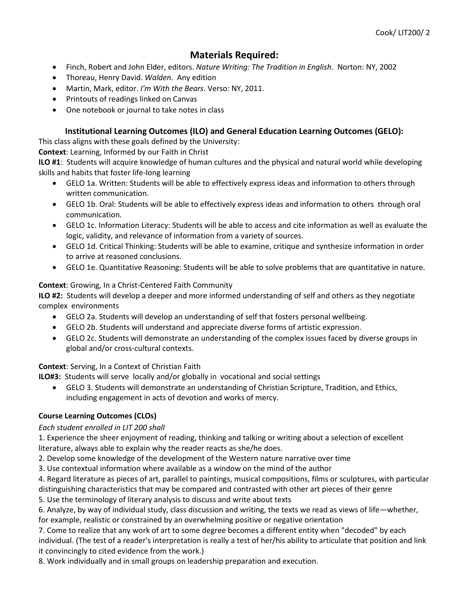# **Materials Required:**

- Finch, Robert and John Elder, editors. *Nature Writing: The Tradition in English.* Norton: NY, 2002
- Thoreau, Henry David. *Walden*. Any edition
- Martin, Mark, editor. *I'm With the Bears*. Verso: NY, 2011.
- Printouts of readings linked on Canvas
- One notebook or journal to take notes in class

# **Institutional Learning Outcomes (ILO) and General Education Learning Outcomes (GELO):**

This class aligns with these goals defined by the University:

**Context**: Learning, Informed by our Faith in Christ

**ILO #1**: Students will acquire knowledge of human cultures and the physical and natural world while developing skills and habits that foster life-long learning

- GELO 1a. Written: Students will be able to effectively express ideas and information to others through written communication.
- GELO 1b. Oral: Students will be able to effectively express ideas and information to others through oral communication.
- GELO 1c. Information Literacy: Students will be able to access and cite information as well as evaluate the logic, validity, and relevance of information from a variety of sources.
- GELO 1d. Critical Thinking: Students will be able to examine, critique and synthesize information in order to arrive at reasoned conclusions.
- GELO 1e. Quantitative Reasoning: Students will be able to solve problems that are quantitative in nature.

#### **Context**: Growing, In a Christ-Centered Faith Community

**ILO #2:** Students will develop a deeper and more informed understanding of self and others as they negotiate complex environments

- GELO 2a. Students will develop an understanding of self that fosters personal wellbeing.
- GELO 2b. Students will understand and appreciate diverse forms of artistic expression.
- GELO 2c. Students will demonstrate an understanding of the complex issues faced by diverse groups in global and/or cross-cultural contexts.

**Context**: Serving, In a Context of Christian Faith

**ILO#3:** Students will serve locally and/or globally in vocational and social settings

• GELO 3. Students will demonstrate an understanding of Christian Scripture, Tradition, and Ethics, including engagement in acts of devotion and works of mercy.

#### **Course Learning Outcomes (CLOs)**

#### *Each student enrolled in LIT 200 shall*

1. Experience the sheer enjoyment of reading, thinking and talking or writing about a selection of excellent literature, always able to explain why the reader reacts as she/he does.

2. Develop some knowledge of the development of the Western nature narrative over time

3. Use contextual information where available as a window on the mind of the author

4. Regard literature as pieces of art, parallel to paintings, musical compositions, films or sculptures, with particular distinguishing characteristics that may be compared and contrasted with other art pieces of their genre

5. Use the terminology of literary analysis to discuss and write about texts

6. Analyze, by way of individual study, class discussion and writing, the texts we read as views of life—whether, for example, realistic or constrained by an overwhelming positive or negative orientation

7. Come to realize that any work of art to some degree becomes a different entity when "decoded" by each individual. (The test of a reader's interpretation is really a test of her/his ability to articulate that position and link it convincingly to cited evidence from the work.)

8. Work individually and in small groups on leadership preparation and execution.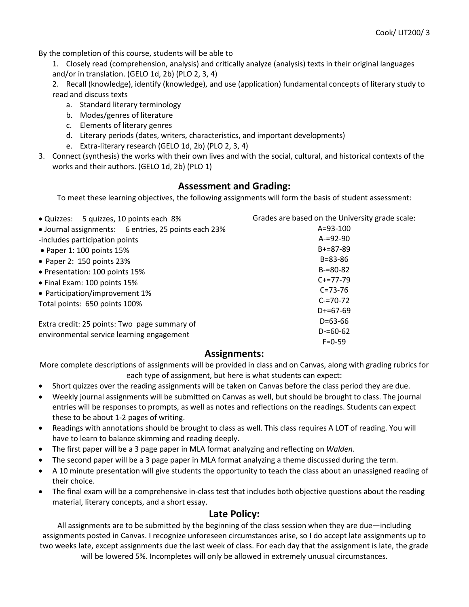By the completion of this course, students will be able to

- 1. Closely read (comprehension, analysis) and critically analyze (analysis) texts in their original languages and/or in translation. (GELO 1d, 2b) (PLO 2, 3, 4)
- 2. Recall (knowledge), identify (knowledge), and use (application) fundamental concepts of literary study to read and discuss texts
	- a. Standard literary terminology
	- b. Modes/genres of literature
	- c. Elements of literary genres
	- d. Literary periods (dates, writers, characteristics, and important developments)
	- e. Extra-literary research (GELO 1d, 2b) (PLO 2, 3, 4)
- 3. Connect (synthesis) the works with their own lives and with the social, cultural, and historical contexts of the works and their authors. (GELO 1d, 2b) (PLO 1)

# **Assessment and Grading:**

To meet these learning objectives, the following assignments will form the basis of student assessment:

| · Quizzes: 5 quizzes, 10 points each 8%              | Grades are based on the University grade scale: |  |  |
|------------------------------------------------------|-------------------------------------------------|--|--|
| • Journal assignments: 6 entries, 25 points each 23% | $A = 93 - 100$                                  |  |  |
| -includes participation points                       | $A = 92 - 90$                                   |  |  |
| • Paper 1: 100 points 15%                            | $B+=87-89$                                      |  |  |
| • Paper 2: 150 points 23%                            | $B = 83 - 86$                                   |  |  |
| • Presentation: 100 points 15%                       | $B = 80 - 82$                                   |  |  |
| • Final Exam: 100 points 15%                         | $C+=77-79$                                      |  |  |
| • Participation/improvement 1%                       | $C = 73 - 76$                                   |  |  |
| Total points: 650 points 100%                        | $C = 70 - 72$                                   |  |  |
|                                                      | $D+=67-69$                                      |  |  |
| Extra credit: 25 points: Two page summary of         | $D=63-66$                                       |  |  |
| environmental service learning engagement            | $D = 60 - 62$                                   |  |  |
|                                                      | $F = 0-59$                                      |  |  |

#### **Assignments:**

More complete descriptions of assignments will be provided in class and on Canvas, along with grading rubrics for each type of assignment, but here is what students can expect:

- Short quizzes over the reading assignments will be taken on Canvas before the class period they are due.
- Weekly journal assignments will be submitted on Canvas as well, but should be brought to class. The journal entries will be responses to prompts, as well as notes and reflections on the readings. Students can expect these to be about 1-2 pages of writing.
- Readings with annotations should be brought to class as well. This class requires A LOT of reading. You will have to learn to balance skimming and reading deeply.
- The first paper will be a 3 page paper in MLA format analyzing and reflecting on *Walden*.
- The second paper will be a 3 page paper in MLA format analyzing a theme discussed during the term.
- A 10 minute presentation will give students the opportunity to teach the class about an unassigned reading of their choice.
- The final exam will be a comprehensive in-class test that includes both objective questions about the reading material, literary concepts, and a short essay.

#### **Late Policy:**

All assignments are to be submitted by the beginning of the class session when they are due—including assignments posted in Canvas. I recognize unforeseen circumstances arise, so I do accept late assignments up to two weeks late, except assignments due the last week of class. For each day that the assignment is late, the grade will be lowered 5%. Incompletes will only be allowed in extremely unusual circumstances.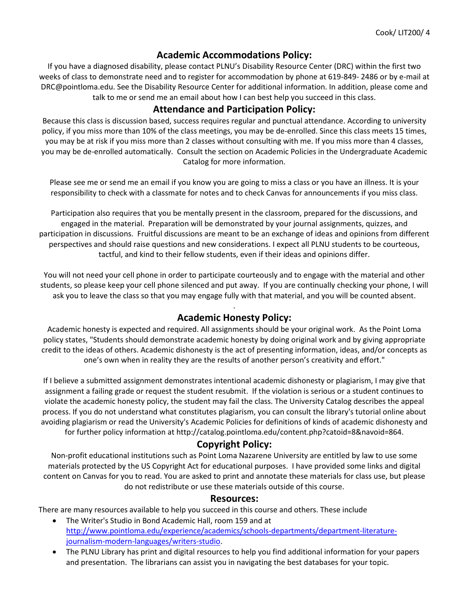#### **Academic Accommodations Policy:**

If you have a diagnosed disability, please contact PLNU's Disability Resource Center (DRC) within the first two weeks of class to demonstrate need and to register for accommodation by phone at 619-849- 2486 or by e-mail at DRC@pointloma.edu. See the Disability Resource Center for additional information. In addition, please come and talk to me or send me an email about how I can best help you succeed in this class.

# **Attendance and Participation Policy:**

Because this class is discussion based, success requires regular and punctual attendance. According to university policy, if you miss more than 10% of the class meetings, you may be de-enrolled. Since this class meets 15 times, you may be at risk if you miss more than 2 classes without consulting with me. If you miss more than 4 classes, you may be de-enrolled automatically. Consult the section on Academic Policies in the Undergraduate Academic Catalog for more information.

Please see me or send me an email if you know you are going to miss a class or you have an illness. It is your responsibility to check with a classmate for notes and to check Canvas for announcements if you miss class.

Participation also requires that you be mentally present in the classroom, prepared for the discussions, and engaged in the material. Preparation will be demonstrated by your journal assignments, quizzes, and participation in discussions. Fruitful discussions are meant to be an exchange of ideas and opinions from different perspectives and should raise questions and new considerations. I expect all PLNU students to be courteous, tactful, and kind to their fellow students, even if their ideas and opinions differ.

You will not need your cell phone in order to participate courteously and to engage with the material and other students, so please keep your cell phone silenced and put away. If you are continually checking your phone, I will ask you to leave the class so that you may engage fully with that material, and you will be counted absent.

#### . **Academic Honesty Policy:**

Academic honesty is expected and required. All assignments should be your original work. As the Point Loma policy states, "Students should demonstrate academic honesty by doing original work and by giving appropriate credit to the ideas of others. Academic dishonesty is the act of presenting information, ideas, and/or concepts as one's own when in reality they are the results of another person's creativity and effort."

If I believe a submitted assignment demonstrates intentional academic dishonesty or plagiarism, I may give that assignment a failing grade or request the student resubmit. If the violation is serious or a student continues to violate the academic honesty policy, the student may fail the class. The University Catalog describes the appeal process. If you do not understand what constitutes plagiarism, you can consult the library's tutorial online about avoiding plagiarism or read the University's Academic Policies for definitions of kinds of academic dishonesty and for further policy information at http://catalog.pointloma.edu/content.php?catoid=8&navoid=864.

# **Copyright Policy:**

Non-profit educational institutions such as Point Loma Nazarene University are entitled by law to use some materials protected by the US Copyright Act for educational purposes. I have provided some links and digital content on Canvas for you to read. You are asked to print and annotate these materials for class use, but please do not redistribute or use these materials outside of this course.

#### **Resources:**

There are many resources available to help you succeed in this course and others. These include

- The Writer's Studio in Bond Academic Hall, room 159 and at [http://www.pointloma.edu/experience/academics/schools-departments/department-literature](http://www.pointloma.edu/experience/academics/schools-departments/department-literature-journalism-modern-languages/writers-studio)[journalism-modern-languages/writers-studio.](http://www.pointloma.edu/experience/academics/schools-departments/department-literature-journalism-modern-languages/writers-studio)
- The PLNU Library has print and digital resources to help you find additional information for your papers and presentation. The librarians can assist you in navigating the best databases for your topic.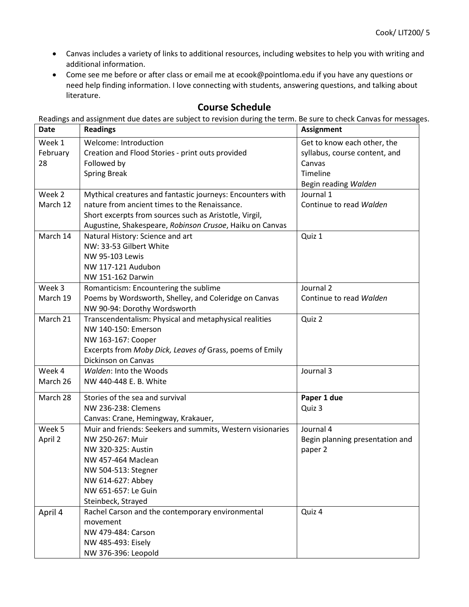- Canvas includes a variety of links to additional resources, including websites to help you with writing and additional information.
- Come see me before or after class or email me at ecook@pointloma.edu if you have any questions or need help finding information. I love connecting with students, answering questions, and talking about literature.

#### **Course Schedule**

Readings and assignment due dates are subject to revision during the term. Be sure to check Canvas for messages.

| <b>Date</b> | <b>Readings</b>                                            | <b>Assignment</b>               |
|-------------|------------------------------------------------------------|---------------------------------|
| Week 1      | Welcome: Introduction                                      | Get to know each other, the     |
| February    | Creation and Flood Stories - print outs provided           | syllabus, course content, and   |
| 28          | Followed by                                                | Canvas                          |
|             | <b>Spring Break</b>                                        | Timeline                        |
|             |                                                            | Begin reading Walden            |
| Week 2      | Mythical creatures and fantastic journeys: Encounters with | Journal 1                       |
| March 12    | nature from ancient times to the Renaissance.              | Continue to read Walden         |
|             | Short excerpts from sources such as Aristotle, Virgil,     |                                 |
|             | Augustine, Shakespeare, Robinson Crusoe, Haiku on Canvas   |                                 |
| March 14    | Natural History: Science and art                           | Quiz 1                          |
|             | NW: 33-53 Gilbert White                                    |                                 |
|             | <b>NW 95-103 Lewis</b>                                     |                                 |
|             | NW 117-121 Audubon                                         |                                 |
|             | NW 151-162 Darwin                                          |                                 |
| Week 3      | Romanticism: Encountering the sublime                      | Journal 2                       |
| March 19    | Poems by Wordsworth, Shelley, and Coleridge on Canvas      | Continue to read Walden         |
|             | NW 90-94: Dorothy Wordsworth                               |                                 |
| March 21    | Transcendentalism: Physical and metaphysical realities     | Quiz 2                          |
|             | NW 140-150: Emerson                                        |                                 |
|             | NW 163-167: Cooper                                         |                                 |
|             | Excerpts from Moby Dick, Leaves of Grass, poems of Emily   |                                 |
|             | Dickinson on Canvas                                        |                                 |
| Week 4      | Walden: Into the Woods                                     | Journal 3                       |
| March 26    | NW 440-448 E. B. White                                     |                                 |
| March 28    | Stories of the sea and survival                            | Paper 1 due                     |
|             | NW 236-238: Clemens                                        | Quiz 3                          |
|             | Canvas: Crane, Hemingway, Krakauer,                        |                                 |
| Week 5      | Muir and friends: Seekers and summits, Western visionaries | Journal 4                       |
| April 2     | NW 250-267: Muir                                           | Begin planning presentation and |
|             | NW 320-325: Austin                                         | paper 2                         |
|             | NW 457-464 Maclean                                         |                                 |
|             | NW 504-513: Stegner                                        |                                 |
|             | NW 614-627: Abbey                                          |                                 |
|             | NW 651-657: Le Guin                                        |                                 |
|             | Steinbeck, Strayed                                         |                                 |
| April 4     | Rachel Carson and the contemporary environmental           | Quiz 4                          |
|             | movement                                                   |                                 |
|             | NW 479-484: Carson                                         |                                 |
|             | NW 485-493: Eisely                                         |                                 |
|             | NW 376-396: Leopold                                        |                                 |